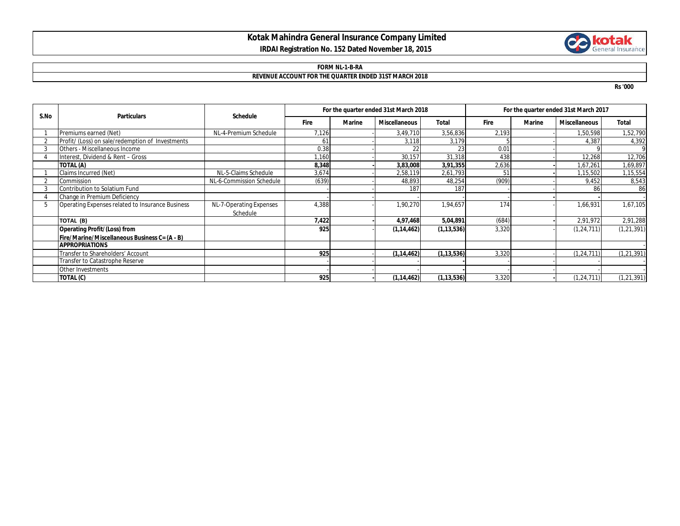## **Kotak Mahindra General Insurance Company Limited IRDAI Registration No. 152 Dated November 18, 2015**



### **FORM NL-1-B-RA**

#### **REVENUE ACCOUNT FOR THE QUARTER ENDED 31ST MARCH 2018**

**Rs '000**

| S.No | <b>Particulars</b>                               | Schedule                            | For the quarter ended 31st March 2018 |               |                      |              | For the quarter ended 31st March 2017 |        |                      |              |
|------|--------------------------------------------------|-------------------------------------|---------------------------------------|---------------|----------------------|--------------|---------------------------------------|--------|----------------------|--------------|
|      |                                                  |                                     | <b>Fire</b>                           | <b>Marine</b> | <b>Miscellaneous</b> | <b>Total</b> | <b>Fire</b>                           | Marine | <b>Miscellaneous</b> | <b>Total</b> |
|      | Premiums earned (Net)                            | NL-4-Premium Schedule               | 7,126                                 |               | 3,49,710             | 3,56,836     | 2,193                                 |        | 1,50,598             | 1,52,790     |
|      | Profit/ (Loss) on sale/redemption of Investments |                                     | 61                                    |               | 3,118                | 3,179        |                                       |        | 4,387                | 4,392        |
|      | Others - Miscellaneous Income                    |                                     | 0.38                                  |               | 22                   | 23           | 0.01                                  |        |                      | 9            |
|      | Interest, Dividend & Rent - Gross                |                                     | 1,160                                 |               | 30,157               | 31,318       | 438                                   |        | 12,268               | 12,706       |
|      | TOTAL (A)                                        |                                     | 8,348                                 |               | 3,83,008             | 3,91,355     | 2,636                                 |        | 1,67,261             | 1,69,897     |
|      | Claims Incurred (Net)                            | NL-5-Claims Schedule                | 3,674                                 |               | 2,58,119             | 2,61,793     | 5.                                    |        | 1,15,502             | 1,15,554     |
|      | Commission                                       | NL-6-Commission Schedule            | (639)                                 |               | 48,893               | 48,254       | (909)                                 |        | 9,452                | 8,543        |
|      | Contribution to Solatium Fund                    |                                     |                                       |               | 187                  | 187          |                                       |        | 8                    | 86           |
|      | Change in Premium Deficiency                     |                                     |                                       |               |                      |              |                                       |        |                      |              |
| 5    | Operating Expenses related to Insurance Business | NL-7-Operating Expenses<br>Schedule | 4,388                                 |               | 1,90,270             | 1,94,657     | 174                                   |        | 1,66,931             | 1,67,105     |
|      | TOTAL (B)                                        |                                     | 7,422                                 |               | 4,97,468             | 5,04,891     | (684)                                 |        | 2,91,972             | 2,91,288     |
|      | <b>Operating Profit/(Loss) from</b>              |                                     | 925                                   |               | (1, 14, 462)         | (1, 13, 536) | 3,320                                 |        | (1, 24, 711)         | (1, 21, 391) |
|      | Fire/Marine/Miscellaneous Business C= (A - B)    |                                     |                                       |               |                      |              |                                       |        |                      |              |
|      | <b>APPROPRIATIONS</b>                            |                                     |                                       |               |                      |              |                                       |        |                      |              |
|      | Transfer to Shareholders' Account                |                                     | 925                                   |               | (1, 14, 462)         | (1, 13, 536) | 3,320                                 |        | (1, 24, 711)         | (1, 21, 391) |
|      | Transfer to Catastrophe Reserve                  |                                     |                                       |               |                      |              |                                       |        |                      |              |
|      | Other Investments                                |                                     |                                       |               |                      |              |                                       |        |                      |              |
|      | TOTAL (C)                                        |                                     | 925                                   |               | (1, 14, 462)         | (1, 13, 536) | 3,320                                 |        | (1, 24, 711)         | (1, 21, 391) |